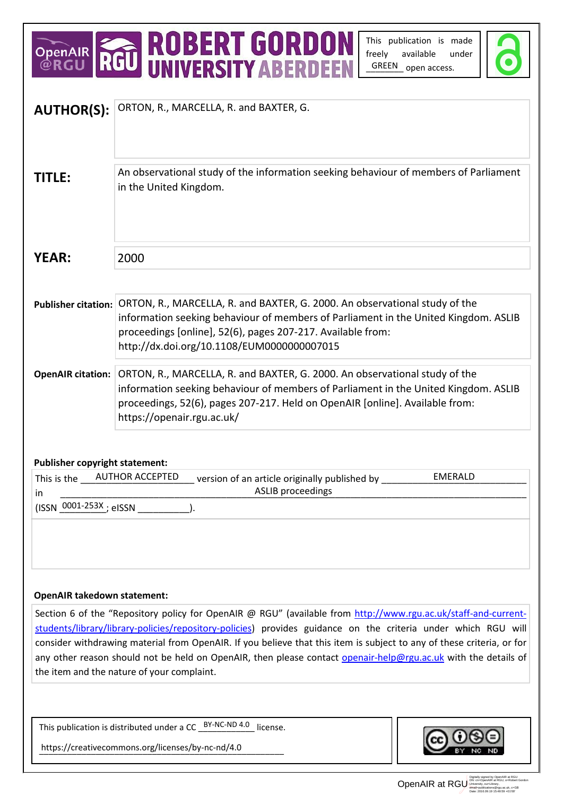# OPENAIR **ROBERT GORDON**

This publication is made freely available under GREEN open access.



| <b>AUTHOR(S):</b>                                                                                                                                                                          | ORTON, R., MARCELLA, R. and BAXTER, G.                                                                                                                                                                                                                                                                                                                                                                                                                                                                                   |
|--------------------------------------------------------------------------------------------------------------------------------------------------------------------------------------------|--------------------------------------------------------------------------------------------------------------------------------------------------------------------------------------------------------------------------------------------------------------------------------------------------------------------------------------------------------------------------------------------------------------------------------------------------------------------------------------------------------------------------|
| <b>TITLE:</b>                                                                                                                                                                              | An observational study of the information seeking behaviour of members of Parliament<br>in the United Kingdom.                                                                                                                                                                                                                                                                                                                                                                                                           |
| <b>YEAR:</b>                                                                                                                                                                               | 2000                                                                                                                                                                                                                                                                                                                                                                                                                                                                                                                     |
| <b>Publisher citation:</b>                                                                                                                                                                 | ORTON, R., MARCELLA, R. and BAXTER, G. 2000. An observational study of the<br>information seeking behaviour of members of Parliament in the United Kingdom. ASLIB<br>proceedings [online], 52(6), pages 207-217. Available from:<br>http://dx.doi.org/10.1108/EUM0000000007015                                                                                                                                                                                                                                           |
| <b>OpenAIR citation:</b>                                                                                                                                                                   | ORTON, R., MARCELLA, R. and BAXTER, G. 2000. An observational study of the<br>information seeking behaviour of members of Parliament in the United Kingdom. ASLIB<br>proceedings, 52(6), pages 207-217. Held on OpenAIR [online]. Available from:<br>https://openair.rgu.ac.uk/                                                                                                                                                                                                                                          |
| <b>Publisher copyright statement:</b><br><b>EMERALD</b><br><b>AUTHOR ACCEPTED</b><br>version of an article originally published by<br>This is the<br><b>ASLIB</b> proceedings<br><i>in</i> |                                                                                                                                                                                                                                                                                                                                                                                                                                                                                                                          |
| $(ISSN 0001-253X ; eISSN)$                                                                                                                                                                 |                                                                                                                                                                                                                                                                                                                                                                                                                                                                                                                          |
|                                                                                                                                                                                            |                                                                                                                                                                                                                                                                                                                                                                                                                                                                                                                          |
| <b>OpenAIR takedown statement:</b>                                                                                                                                                         |                                                                                                                                                                                                                                                                                                                                                                                                                                                                                                                          |
|                                                                                                                                                                                            | Section 6 of the "Repository policy for OpenAIR @ RGU" (available from http://www.rgu.ac.uk/staff-and-current-<br>students/library/library-policies/repository-policies) provides guidance on the criteria under which RGU will<br>consider withdrawing material from OpenAIR. If you believe that this item is subject to any of these criteria, or for<br>any other reason should not be held on OpenAIR, then please contact openair-help@rgu.ac.uk with the details of<br>the item and the nature of your complaint. |

This publication is distributed under a CC  $_{\_}BY-NC-ND 4.0$  license.

https://creativecommons.org/licenses/by-nc-nd/4.0

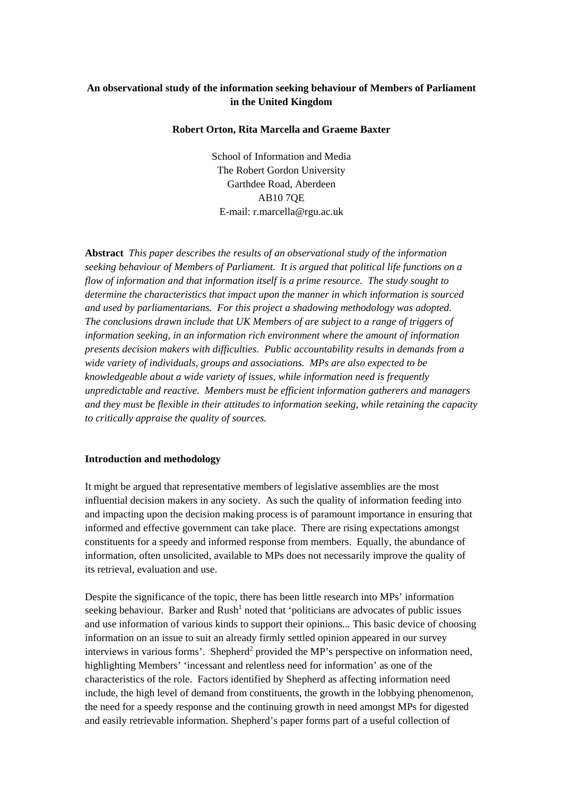# **An observational study of the information seeking behaviour of Members of Parliament in the United Kingdom**

#### **Robert Orton, Rita Marcella and Graeme Baxter**

School of Information and Media The Robert Gordon University Garthdee Road, Aberdeen AB10 7QE E-mail: r.marcella@rgu.ac.uk

**Abstract** *This paper describes the results of an observational study of the information seeking behaviour of Members of Parliament. It is argued that political life functions on a flow of information and that information itself is a prime resource. The study sought to determine the characteristics that impact upon the manner in which information is sourced and used by parliamentarians. For this project a shadowing methodology was adopted. The conclusions drawn include that UK Members of are subject to a range of triggers of information seeking, in an information rich environment where the amount of information presents decision makers with difficulties. Public accountability results in demands from a wide variety of individuals, groups and associations. MPs are also expected to be knowledgeable about a wide variety of issues, while information need is frequently unpredictable and reactive. Members must be efficient information gatherers and managers and they must be flexible in their attitudes to information seeking, while retaining the capacity to critically appraise the quality of sources.* 

## **Introduction and methodology**

It might be argued that representative members of legislative assemblies are the most influential decision makers in any society. As such the quality of information feeding into and impacting upon the decision making process is of paramount importance in ensuring that informed and effective government can take place. There are rising expectations amongst constituents for a speedy and informed response from members. Equally, the abundance of information, often unsolicited, available to MPs does not necessarily improve the quality of its retrieval, evaluation and use.

Despite the significance of the topic, there has been little research into MPs' information seeking behaviour. Barker and Rush<sup>1</sup> noted that 'politicians are advocates of public issues and use information of various kinds to support their opinions... This basic device of choosing information on an issue to suit an already firmly settled opinion appeared in our survey interviews in various forms'. Shepherd<sup>2</sup> provided the MP's perspective on information need, highlighting Members' 'incessant and relentless need for information' as one of the characteristics of the role. Factors identified by Shepherd as affecting information need include, the high level of demand from constituents, the growth in the lobbying phenomenon, the need for a speedy response and the continuing growth in need amongst MPs for digested and easily retrievable information. Shepherd's paper forms part of a useful collection of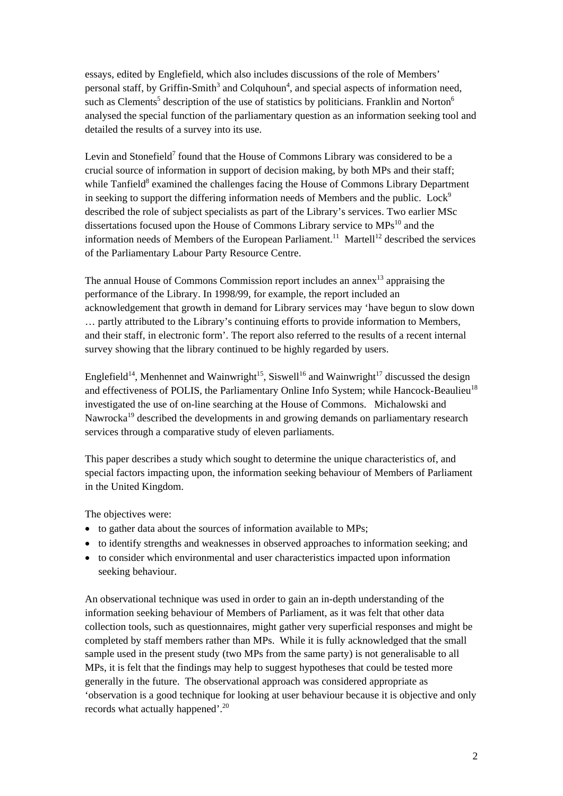essays, edited by Englefield, which also includes discussions of the role of Members' personal staff, by Griffin-Smith<sup>3</sup> and Colquhoun<sup>4</sup>, and special aspects of information need, such as Clements<sup>5</sup> description of the use of statistics by politicians. Franklin and Norton<sup>6</sup> analysed the special function of the parliamentary question as an information seeking tool and detailed the results of a survey into its use.

Levin and Stonefield<sup>7</sup> found that the House of Commons Library was considered to be a crucial source of information in support of decision making, by both MPs and their staff; while Tanfield<sup>8</sup> examined the challenges facing the House of Commons Library Department in seeking to support the differing information needs of Members and the public.  $Lock<sup>9</sup>$ described the role of subject specialists as part of the Library's services. Two earlier MSc dissertations focused upon the House of Commons Library service to  $MPs<sup>10</sup>$  and the information needs of Members of the European Parliament.<sup>11</sup> Martell<sup>12</sup> described the services of the Parliamentary Labour Party Resource Centre.

The annual House of Commons Commission report includes an annex<sup>13</sup> appraising the performance of the Library. In 1998/99, for example, the report included an acknowledgement that growth in demand for Library services may 'have begun to slow down … partly attributed to the Library's continuing efforts to provide information to Members, and their staff, in electronic form'. The report also referred to the results of a recent internal survey showing that the library continued to be highly regarded by users.

Englefield<sup>14</sup>, Menhennet and Wainwright<sup>15</sup>, Siswell<sup>16</sup> and Wainwright<sup>17</sup> discussed the design and effectiveness of POLIS, the Parliamentary Online Info System; while Hancock-Beaulieu<sup>18</sup> investigated the use of on-line searching at the House of Commons. Michalowski and Nawrocka<sup>19</sup> described the developments in and growing demands on parliamentary research services through a comparative study of eleven parliaments.

This paper describes a study which sought to determine the unique characteristics of, and special factors impacting upon, the information seeking behaviour of Members of Parliament in the United Kingdom.

The objectives were:

- to gather data about the sources of information available to MPs;
- to identify strengths and weaknesses in observed approaches to information seeking; and
- to consider which environmental and user characteristics impacted upon information seeking behaviour.

An observational technique was used in order to gain an in-depth understanding of the information seeking behaviour of Members of Parliament, as it was felt that other data collection tools, such as questionnaires, might gather very superficial responses and might be completed by staff members rather than MPs. While it is fully acknowledged that the small sample used in the present study (two MPs from the same party) is not generalisable to all MPs, it is felt that the findings may help to suggest hypotheses that could be tested more generally in the future. The observational approach was considered appropriate as 'observation is a good technique for looking at user behaviour because it is objective and only records what actually happened'.20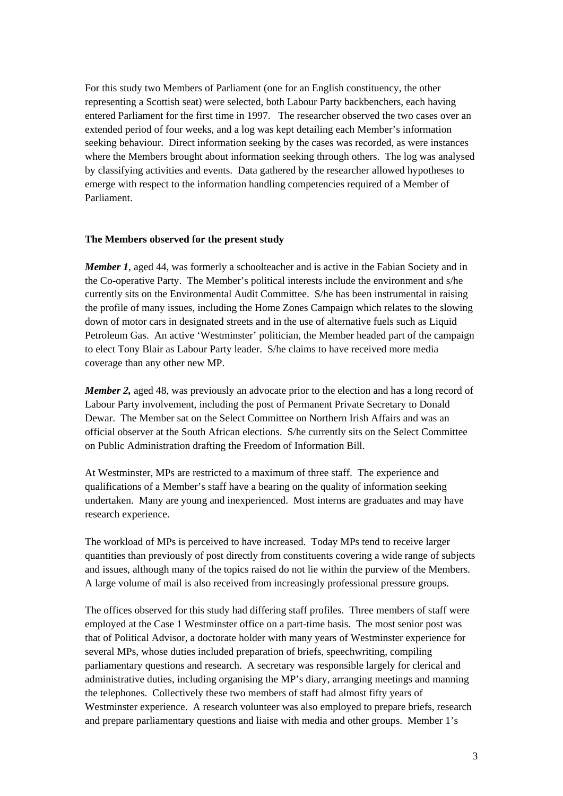For this study two Members of Parliament (one for an English constituency, the other representing a Scottish seat) were selected, both Labour Party backbenchers, each having entered Parliament for the first time in 1997. The researcher observed the two cases over an extended period of four weeks, and a log was kept detailing each Member's information seeking behaviour. Direct information seeking by the cases was recorded, as were instances where the Members brought about information seeking through others. The log was analysed by classifying activities and events. Data gathered by the researcher allowed hypotheses to emerge with respect to the information handling competencies required of a Member of Parliament.

#### **The Members observed for the present study**

*Member 1*, aged 44, was formerly a schoolteacher and is active in the Fabian Society and in the Co-operative Party. The Member's political interests include the environment and s/he currently sits on the Environmental Audit Committee. S/he has been instrumental in raising the profile of many issues, including the Home Zones Campaign which relates to the slowing down of motor cars in designated streets and in the use of alternative fuels such as Liquid Petroleum Gas. An active 'Westminster' politician, the Member headed part of the campaign to elect Tony Blair as Labour Party leader. S/he claims to have received more media coverage than any other new MP.

*Member 2, aged 48, was previously an advocate prior to the election and has a long record of* Labour Party involvement, including the post of Permanent Private Secretary to Donald Dewar. The Member sat on the Select Committee on Northern Irish Affairs and was an official observer at the South African elections. S/he currently sits on the Select Committee on Public Administration drafting the Freedom of Information Bill.

At Westminster, MPs are restricted to a maximum of three staff. The experience and qualifications of a Member's staff have a bearing on the quality of information seeking undertaken. Many are young and inexperienced. Most interns are graduates and may have research experience.

The workload of MPs is perceived to have increased. Today MPs tend to receive larger quantities than previously of post directly from constituents covering a wide range of subjects and issues, although many of the topics raised do not lie within the purview of the Members. A large volume of mail is also received from increasingly professional pressure groups.

The offices observed for this study had differing staff profiles. Three members of staff were employed at the Case 1 Westminster office on a part-time basis. The most senior post was that of Political Advisor, a doctorate holder with many years of Westminster experience for several MPs, whose duties included preparation of briefs, speechwriting, compiling parliamentary questions and research. A secretary was responsible largely for clerical and administrative duties, including organising the MP's diary, arranging meetings and manning the telephones. Collectively these two members of staff had almost fifty years of Westminster experience. A research volunteer was also employed to prepare briefs, research and prepare parliamentary questions and liaise with media and other groups. Member 1's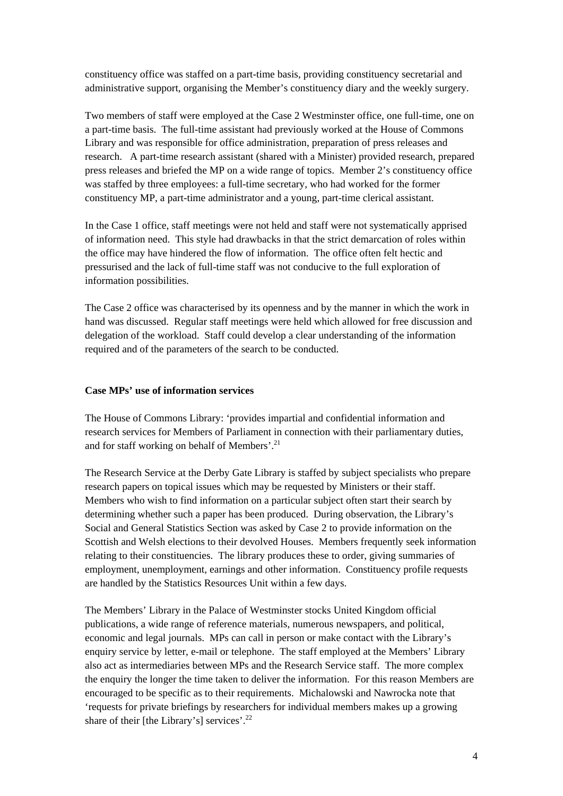constituency office was staffed on a part-time basis, providing constituency secretarial and administrative support, organising the Member's constituency diary and the weekly surgery.

Two members of staff were employed at the Case 2 Westminster office, one full-time, one on a part-time basis. The full-time assistant had previously worked at the House of Commons Library and was responsible for office administration, preparation of press releases and research. A part-time research assistant (shared with a Minister) provided research, prepared press releases and briefed the MP on a wide range of topics. Member 2's constituency office was staffed by three employees: a full-time secretary, who had worked for the former constituency MP, a part-time administrator and a young, part-time clerical assistant.

In the Case 1 office, staff meetings were not held and staff were not systematically apprised of information need. This style had drawbacks in that the strict demarcation of roles within the office may have hindered the flow of information. The office often felt hectic and pressurised and the lack of full-time staff was not conducive to the full exploration of information possibilities.

The Case 2 office was characterised by its openness and by the manner in which the work in hand was discussed. Regular staff meetings were held which allowed for free discussion and delegation of the workload. Staff could develop a clear understanding of the information required and of the parameters of the search to be conducted.

## **Case MPs' use of information services**

The House of Commons Library: 'provides impartial and confidential information and research services for Members of Parliament in connection with their parliamentary duties, and for staff working on behalf of Members'.21

The Research Service at the Derby Gate Library is staffed by subject specialists who prepare research papers on topical issues which may be requested by Ministers or their staff. Members who wish to find information on a particular subject often start their search by determining whether such a paper has been produced. During observation, the Library's Social and General Statistics Section was asked by Case 2 to provide information on the Scottish and Welsh elections to their devolved Houses. Members frequently seek information relating to their constituencies. The library produces these to order, giving summaries of employment, unemployment, earnings and other information. Constituency profile requests are handled by the Statistics Resources Unit within a few days.

The Members' Library in the Palace of Westminster stocks United Kingdom official publications, a wide range of reference materials, numerous newspapers, and political, economic and legal journals. MPs can call in person or make contact with the Library's enquiry service by letter, e-mail or telephone. The staff employed at the Members' Library also act as intermediaries between MPs and the Research Service staff. The more complex the enquiry the longer the time taken to deliver the information. For this reason Members are encouraged to be specific as to their requirements. Michalowski and Nawrocka note that 'requests for private briefings by researchers for individual members makes up a growing share of their [the Library's] services'.<sup>22</sup>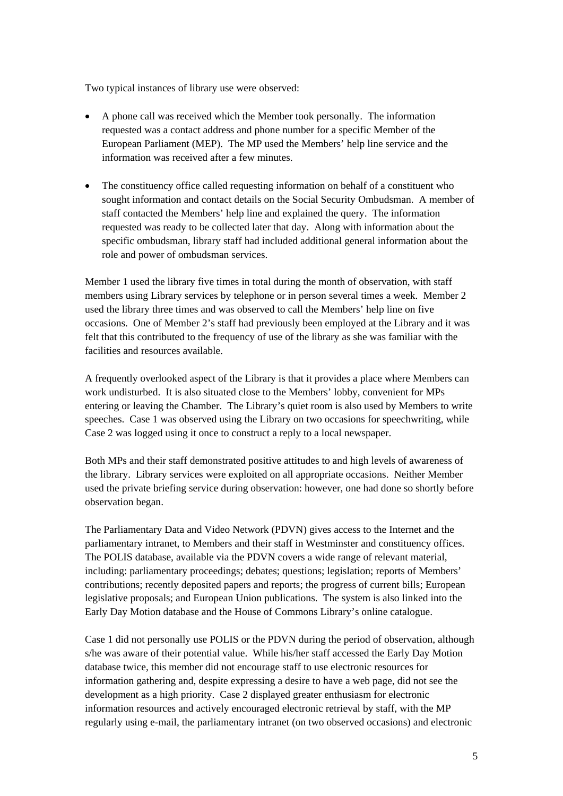Two typical instances of library use were observed:

- A phone call was received which the Member took personally. The information requested was a contact address and phone number for a specific Member of the European Parliament (MEP). The MP used the Members' help line service and the information was received after a few minutes.
- The constituency office called requesting information on behalf of a constituent who sought information and contact details on the Social Security Ombudsman. A member of staff contacted the Members' help line and explained the query. The information requested was ready to be collected later that day. Along with information about the specific ombudsman, library staff had included additional general information about the role and power of ombudsman services.

Member 1 used the library five times in total during the month of observation, with staff members using Library services by telephone or in person several times a week. Member 2 used the library three times and was observed to call the Members' help line on five occasions. One of Member 2's staff had previously been employed at the Library and it was felt that this contributed to the frequency of use of the library as she was familiar with the facilities and resources available.

A frequently overlooked aspect of the Library is that it provides a place where Members can work undisturbed. It is also situated close to the Members' lobby, convenient for MPs entering or leaving the Chamber. The Library's quiet room is also used by Members to write speeches. Case 1 was observed using the Library on two occasions for speechwriting, while Case 2 was logged using it once to construct a reply to a local newspaper.

Both MPs and their staff demonstrated positive attitudes to and high levels of awareness of the library. Library services were exploited on all appropriate occasions. Neither Member used the private briefing service during observation: however, one had done so shortly before observation began.

The Parliamentary Data and Video Network (PDVN) gives access to the Internet and the parliamentary intranet, to Members and their staff in Westminster and constituency offices. The POLIS database, available via the PDVN covers a wide range of relevant material, including: parliamentary proceedings; debates; questions; legislation; reports of Members' contributions; recently deposited papers and reports; the progress of current bills; European legislative proposals; and European Union publications. The system is also linked into the Early Day Motion database and the House of Commons Library's online catalogue.

Case 1 did not personally use POLIS or the PDVN during the period of observation, although s/he was aware of their potential value. While his/her staff accessed the Early Day Motion database twice, this member did not encourage staff to use electronic resources for information gathering and, despite expressing a desire to have a web page, did not see the development as a high priority. Case 2 displayed greater enthusiasm for electronic information resources and actively encouraged electronic retrieval by staff, with the MP regularly using e-mail, the parliamentary intranet (on two observed occasions) and electronic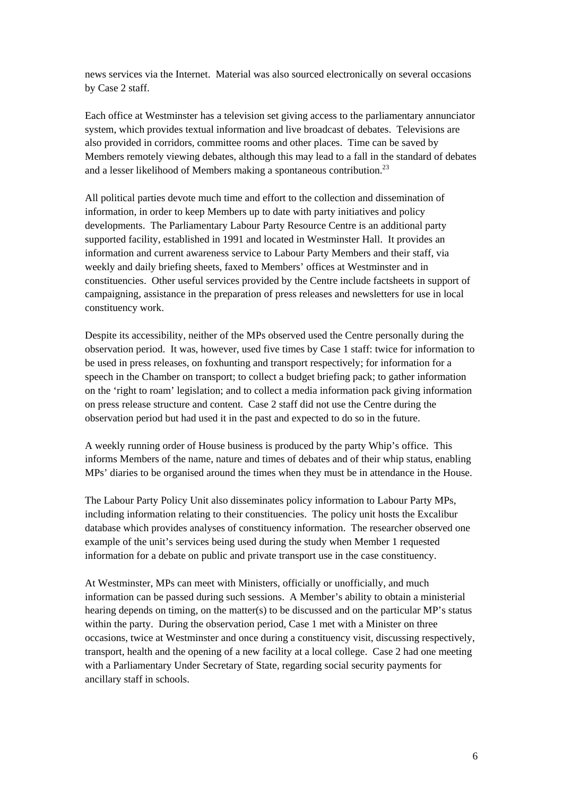news services via the Internet. Material was also sourced electronically on several occasions by Case 2 staff.

Each office at Westminster has a television set giving access to the parliamentary annunciator system, which provides textual information and live broadcast of debates. Televisions are also provided in corridors, committee rooms and other places. Time can be saved by Members remotely viewing debates, although this may lead to a fall in the standard of debates and a lesser likelihood of Members making a spontaneous contribution.<sup>23</sup>

All political parties devote much time and effort to the collection and dissemination of information, in order to keep Members up to date with party initiatives and policy developments. The Parliamentary Labour Party Resource Centre is an additional party supported facility, established in 1991 and located in Westminster Hall. It provides an information and current awareness service to Labour Party Members and their staff, via weekly and daily briefing sheets, faxed to Members' offices at Westminster and in constituencies. Other useful services provided by the Centre include factsheets in support of campaigning, assistance in the preparation of press releases and newsletters for use in local constituency work.

Despite its accessibility, neither of the MPs observed used the Centre personally during the observation period. It was, however, used five times by Case 1 staff: twice for information to be used in press releases, on foxhunting and transport respectively; for information for a speech in the Chamber on transport; to collect a budget briefing pack; to gather information on the 'right to roam' legislation; and to collect a media information pack giving information on press release structure and content. Case 2 staff did not use the Centre during the observation period but had used it in the past and expected to do so in the future.

A weekly running order of House business is produced by the party Whip's office. This informs Members of the name, nature and times of debates and of their whip status, enabling MPs' diaries to be organised around the times when they must be in attendance in the House.

The Labour Party Policy Unit also disseminates policy information to Labour Party MPs, including information relating to their constituencies. The policy unit hosts the Excalibur database which provides analyses of constituency information. The researcher observed one example of the unit's services being used during the study when Member 1 requested information for a debate on public and private transport use in the case constituency.

At Westminster, MPs can meet with Ministers, officially or unofficially, and much information can be passed during such sessions. A Member's ability to obtain a ministerial hearing depends on timing, on the matter(s) to be discussed and on the particular MP's status within the party. During the observation period, Case 1 met with a Minister on three occasions, twice at Westminster and once during a constituency visit, discussing respectively, transport, health and the opening of a new facility at a local college. Case 2 had one meeting with a Parliamentary Under Secretary of State, regarding social security payments for ancillary staff in schools.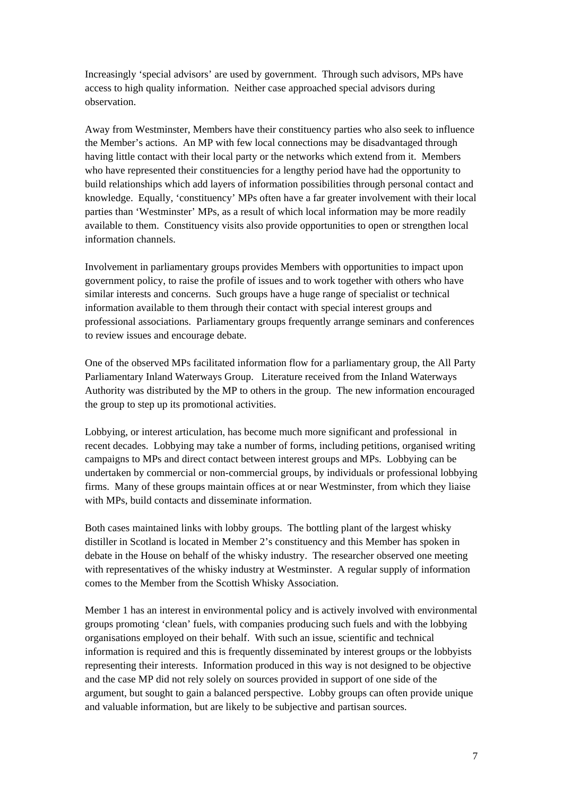Increasingly 'special advisors' are used by government. Through such advisors, MPs have access to high quality information. Neither case approached special advisors during observation.

Away from Westminster, Members have their constituency parties who also seek to influence the Member's actions. An MP with few local connections may be disadvantaged through having little contact with their local party or the networks which extend from it. Members who have represented their constituencies for a lengthy period have had the opportunity to build relationships which add layers of information possibilities through personal contact and knowledge. Equally, 'constituency' MPs often have a far greater involvement with their local parties than 'Westminster' MPs, as a result of which local information may be more readily available to them. Constituency visits also provide opportunities to open or strengthen local information channels.

Involvement in parliamentary groups provides Members with opportunities to impact upon government policy, to raise the profile of issues and to work together with others who have similar interests and concerns. Such groups have a huge range of specialist or technical information available to them through their contact with special interest groups and professional associations. Parliamentary groups frequently arrange seminars and conferences to review issues and encourage debate.

One of the observed MPs facilitated information flow for a parliamentary group, the All Party Parliamentary Inland Waterways Group.Literature received from the Inland Waterways Authority was distributed by the MP to others in the group. The new information encouraged the group to step up its promotional activities.

Lobbying, or interest articulation, has become much more significant and professional in recent decades. Lobbying may take a number of forms, including petitions, organised writing campaigns to MPs and direct contact between interest groups and MPs. Lobbying can be undertaken by commercial or non-commercial groups, by individuals or professional lobbying firms. Many of these groups maintain offices at or near Westminster, from which they liaise with MPs, build contacts and disseminate information.

Both cases maintained links with lobby groups. The bottling plant of the largest whisky distiller in Scotland is located in Member 2's constituency and this Member has spoken in debate in the House on behalf of the whisky industry. The researcher observed one meeting with representatives of the whisky industry at Westminster. A regular supply of information comes to the Member from the Scottish Whisky Association.

Member 1 has an interest in environmental policy and is actively involved with environmental groups promoting 'clean' fuels, with companies producing such fuels and with the lobbying organisations employed on their behalf. With such an issue, scientific and technical information is required and this is frequently disseminated by interest groups or the lobbyists representing their interests. Information produced in this way is not designed to be objective and the case MP did not rely solely on sources provided in support of one side of the argument, but sought to gain a balanced perspective. Lobby groups can often provide unique and valuable information, but are likely to be subjective and partisan sources.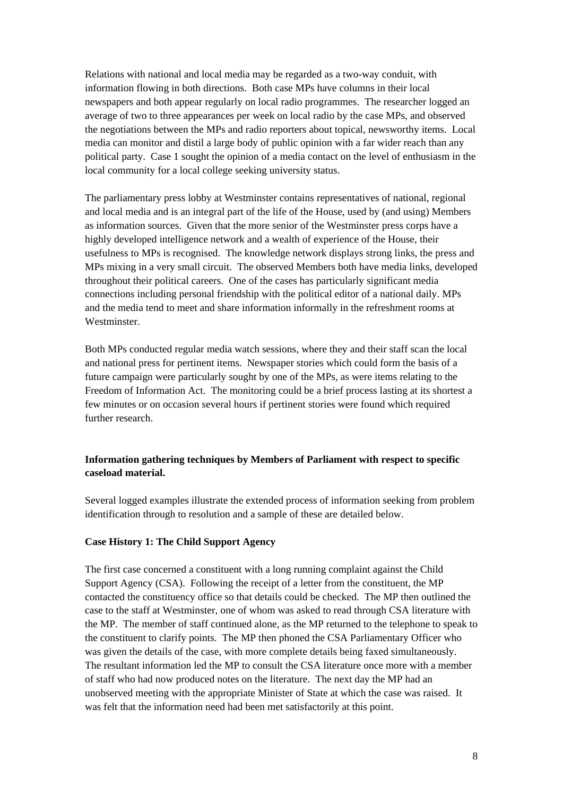Relations with national and local media may be regarded as a two-way conduit, with information flowing in both directions. Both case MPs have columns in their local newspapers and both appear regularly on local radio programmes. The researcher logged an average of two to three appearances per week on local radio by the case MPs, and observed the negotiations between the MPs and radio reporters about topical, newsworthy items. Local media can monitor and distil a large body of public opinion with a far wider reach than any political party. Case 1 sought the opinion of a media contact on the level of enthusiasm in the local community for a local college seeking university status.

The parliamentary press lobby at Westminster contains representatives of national, regional and local media and is an integral part of the life of the House, used by (and using) Members as information sources. Given that the more senior of the Westminster press corps have a highly developed intelligence network and a wealth of experience of the House, their usefulness to MPs is recognised. The knowledge network displays strong links, the press and MPs mixing in a very small circuit. The observed Members both have media links, developed throughout their political careers. One of the cases has particularly significant media connections including personal friendship with the political editor of a national daily. MPs and the media tend to meet and share information informally in the refreshment rooms at **Westminster** 

Both MPs conducted regular media watch sessions, where they and their staff scan the local and national press for pertinent items. Newspaper stories which could form the basis of a future campaign were particularly sought by one of the MPs, as were items relating to the Freedom of Information Act. The monitoring could be a brief process lasting at its shortest a few minutes or on occasion several hours if pertinent stories were found which required further research.

# **Information gathering techniques by Members of Parliament with respect to specific caseload material.**

Several logged examples illustrate the extended process of information seeking from problem identification through to resolution and a sample of these are detailed below.

## **Case History 1: The Child Support Agency**

The first case concerned a constituent with a long running complaint against the Child Support Agency (CSA). Following the receipt of a letter from the constituent, the MP contacted the constituency office so that details could be checked. The MP then outlined the case to the staff at Westminster, one of whom was asked to read through CSA literature with the MP. The member of staff continued alone, as the MP returned to the telephone to speak to the constituent to clarify points. The MP then phoned the CSA Parliamentary Officer who was given the details of the case, with more complete details being faxed simultaneously. The resultant information led the MP to consult the CSA literature once more with a member of staff who had now produced notes on the literature. The next day the MP had an unobserved meeting with the appropriate Minister of State at which the case was raised. It was felt that the information need had been met satisfactorily at this point.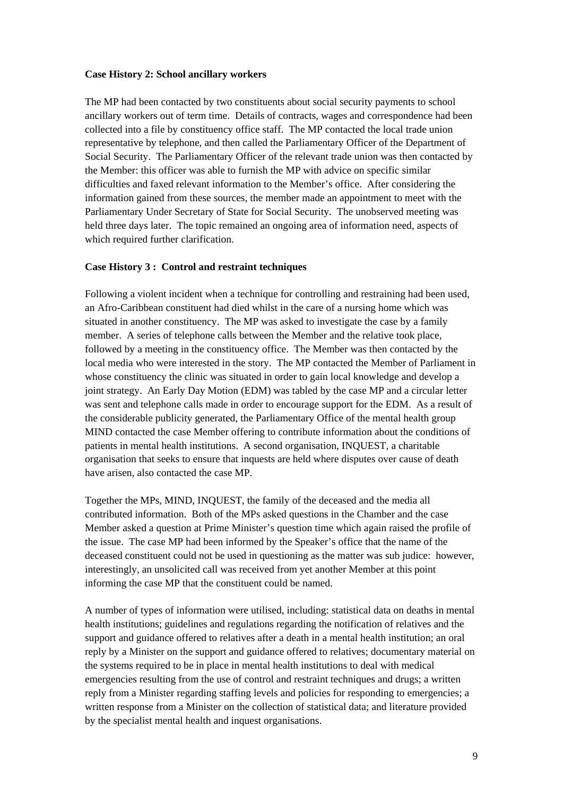#### **Case History 2: School ancillary workers**

The MP had been contacted by two constituents about social security payments to school ancillary workers out of term time. Details of contracts, wages and correspondence had been collected into a file by constituency office staff. The MP contacted the local trade union representative by telephone, and then called the Parliamentary Officer of the Department of Social Security. The Parliamentary Officer of the relevant trade union was then contacted by the Member: this officer was able to furnish the MP with advice on specific similar difficulties and faxed relevant information to the Member's office. After considering the information gained from these sources, the member made an appointment to meet with the Parliamentary Under Secretary of State for Social Security. The unobserved meeting was held three days later. The topic remained an ongoing area of information need, aspects of which required further clarification.

## **Case History 3 : Control and restraint techniques**

Following a violent incident when a technique for controlling and restraining had been used, an Afro-Caribbean constituent had died whilst in the care of a nursing home which was situated in another constituency. The MP was asked to investigate the case by a family member. A series of telephone calls between the Member and the relative took place, followed by a meeting in the constituency office. The Member was then contacted by the local media who were interested in the story. The MP contacted the Member of Parliament in whose constituency the clinic was situated in order to gain local knowledge and develop a joint strategy. An Early Day Motion (EDM) was tabled by the case MP and a circular letter was sent and telephone calls made in order to encourage support for the EDM. As a result of the considerable publicity generated, the Parliamentary Office of the mental health group MIND contacted the case Member offering to contribute information about the conditions of patients in mental health institutions. A second organisation, INQUEST, a charitable organisation that seeks to ensure that inquests are held where disputes over cause of death have arisen, also contacted the case MP.

Together the MPs, MIND, INQUEST, the family of the deceased and the media all contributed information. Both of the MPs asked questions in the Chamber and the case Member asked a question at Prime Minister's question time which again raised the profile of the issue. The case MP had been informed by the Speaker's office that the name of the deceased constituent could not be used in questioning as the matter was sub judice: however, interestingly, an unsolicited call was received from yet another Member at this point informing the case MP that the constituent could be named.

A number of types of information were utilised, including: statistical data on deaths in mental health institutions; guidelines and regulations regarding the notification of relatives and the support and guidance offered to relatives after a death in a mental health institution; an oral reply by a Minister on the support and guidance offered to relatives; documentary material on the systems required to be in place in mental health institutions to deal with medical emergencies resulting from the use of control and restraint techniques and drugs; a written reply from a Minister regarding staffing levels and policies for responding to emergencies; a written response from a Minister on the collection of statistical data; and literature provided by the specialist mental health and inquest organisations.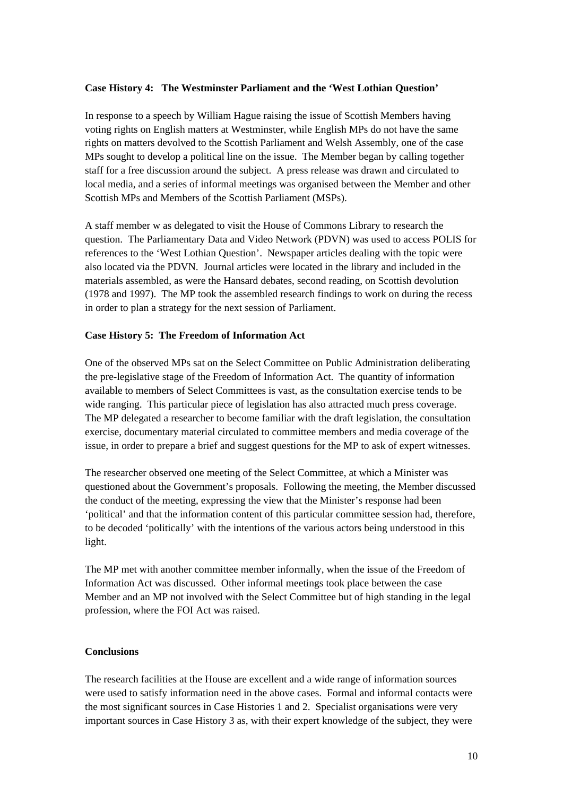## **Case History 4: The Westminster Parliament and the 'West Lothian Question'**

In response to a speech by William Hague raising the issue of Scottish Members having voting rights on English matters at Westminster, while English MPs do not have the same rights on matters devolved to the Scottish Parliament and Welsh Assembly, one of the case MPs sought to develop a political line on the issue. The Member began by calling together staff for a free discussion around the subject. A press release was drawn and circulated to local media, and a series of informal meetings was organised between the Member and other Scottish MPs and Members of the Scottish Parliament (MSPs).

A staff member w as delegated to visit the House of Commons Library to research the question. The Parliamentary Data and Video Network (PDVN) was used to access POLIS for references to the 'West Lothian Question'. Newspaper articles dealing with the topic were also located via the PDVN. Journal articles were located in the library and included in the materials assembled, as were the Hansard debates, second reading, on Scottish devolution (1978 and 1997). The MP took the assembled research findings to work on during the recess in order to plan a strategy for the next session of Parliament.

## **Case History 5: The Freedom of Information Act**

One of the observed MPs sat on the Select Committee on Public Administration deliberating the pre-legislative stage of the Freedom of Information Act. The quantity of information available to members of Select Committees is vast, as the consultation exercise tends to be wide ranging. This particular piece of legislation has also attracted much press coverage. The MP delegated a researcher to become familiar with the draft legislation, the consultation exercise, documentary material circulated to committee members and media coverage of the issue, in order to prepare a brief and suggest questions for the MP to ask of expert witnesses.

The researcher observed one meeting of the Select Committee, at which a Minister was questioned about the Government's proposals. Following the meeting, the Member discussed the conduct of the meeting, expressing the view that the Minister's response had been 'political' and that the information content of this particular committee session had, therefore, to be decoded 'politically' with the intentions of the various actors being understood in this light.

The MP met with another committee member informally, when the issue of the Freedom of Information Act was discussed. Other informal meetings took place between the case Member and an MP not involved with the Select Committee but of high standing in the legal profession, where the FOI Act was raised.

## **Conclusions**

The research facilities at the House are excellent and a wide range of information sources were used to satisfy information need in the above cases. Formal and informal contacts were the most significant sources in Case Histories 1 and 2. Specialist organisations were very important sources in Case History 3 as, with their expert knowledge of the subject, they were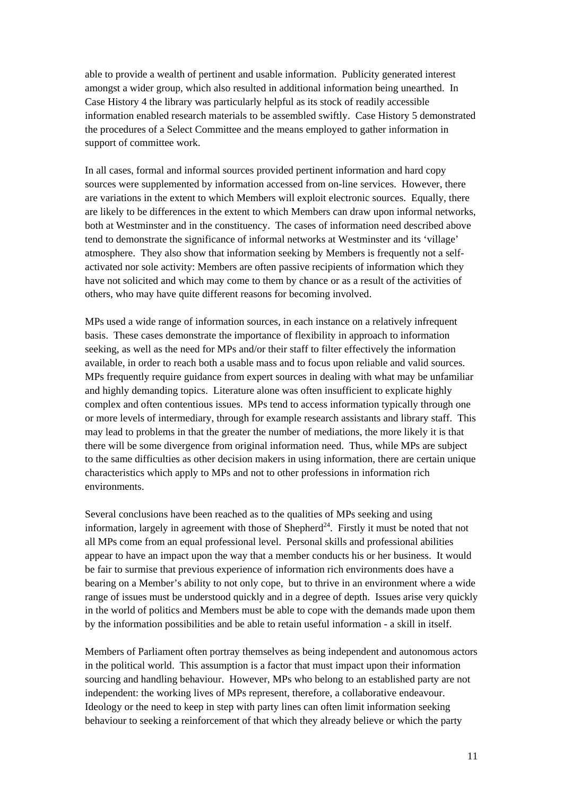able to provide a wealth of pertinent and usable information. Publicity generated interest amongst a wider group, which also resulted in additional information being unearthed. In Case History 4 the library was particularly helpful as its stock of readily accessible information enabled research materials to be assembled swiftly. Case History 5 demonstrated the procedures of a Select Committee and the means employed to gather information in support of committee work.

In all cases, formal and informal sources provided pertinent information and hard copy sources were supplemented by information accessed from on-line services. However, there are variations in the extent to which Members will exploit electronic sources. Equally, there are likely to be differences in the extent to which Members can draw upon informal networks, both at Westminster and in the constituency. The cases of information need described above tend to demonstrate the significance of informal networks at Westminster and its 'village' atmosphere. They also show that information seeking by Members is frequently not a selfactivated nor sole activity: Members are often passive recipients of information which they have not solicited and which may come to them by chance or as a result of the activities of others, who may have quite different reasons for becoming involved.

MPs used a wide range of information sources, in each instance on a relatively infrequent basis. These cases demonstrate the importance of flexibility in approach to information seeking, as well as the need for MPs and/or their staff to filter effectively the information available, in order to reach both a usable mass and to focus upon reliable and valid sources. MPs frequently require guidance from expert sources in dealing with what may be unfamiliar and highly demanding topics. Literature alone was often insufficient to explicate highly complex and often contentious issues. MPs tend to access information typically through one or more levels of intermediary, through for example research assistants and library staff. This may lead to problems in that the greater the number of mediations, the more likely it is that there will be some divergence from original information need. Thus, while MPs are subject to the same difficulties as other decision makers in using information, there are certain unique characteristics which apply to MPs and not to other professions in information rich environments.

Several conclusions have been reached as to the qualities of MPs seeking and using information, largely in agreement with those of Shepherd<sup>24</sup>. Firstly it must be noted that not all MPs come from an equal professional level. Personal skills and professional abilities appear to have an impact upon the way that a member conducts his or her business. It would be fair to surmise that previous experience of information rich environments does have a bearing on a Member's ability to not only cope, but to thrive in an environment where a wide range of issues must be understood quickly and in a degree of depth. Issues arise very quickly in the world of politics and Members must be able to cope with the demands made upon them by the information possibilities and be able to retain useful information - a skill in itself.

Members of Parliament often portray themselves as being independent and autonomous actors in the political world. This assumption is a factor that must impact upon their information sourcing and handling behaviour. However, MPs who belong to an established party are not independent: the working lives of MPs represent, therefore, a collaborative endeavour. Ideology or the need to keep in step with party lines can often limit information seeking behaviour to seeking a reinforcement of that which they already believe or which the party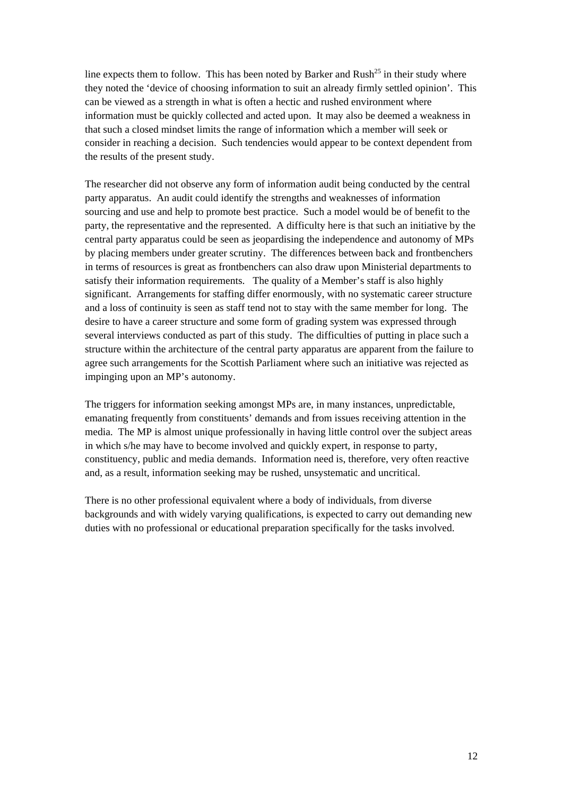line expects them to follow. This has been noted by Barker and  $Rush^{25}$  in their study where they noted the 'device of choosing information to suit an already firmly settled opinion'. This can be viewed as a strength in what is often a hectic and rushed environment where information must be quickly collected and acted upon. It may also be deemed a weakness in that such a closed mindset limits the range of information which a member will seek or consider in reaching a decision. Such tendencies would appear to be context dependent from the results of the present study.

The researcher did not observe any form of information audit being conducted by the central party apparatus. An audit could identify the strengths and weaknesses of information sourcing and use and help to promote best practice. Such a model would be of benefit to the party, the representative and the represented. A difficulty here is that such an initiative by the central party apparatus could be seen as jeopardising the independence and autonomy of MPs by placing members under greater scrutiny. The differences between back and frontbenchers in terms of resources is great as frontbenchers can also draw upon Ministerial departments to satisfy their information requirements. The quality of a Member's staff is also highly significant. Arrangements for staffing differ enormously, with no systematic career structure and a loss of continuity is seen as staff tend not to stay with the same member for long. The desire to have a career structure and some form of grading system was expressed through several interviews conducted as part of this study. The difficulties of putting in place such a structure within the architecture of the central party apparatus are apparent from the failure to agree such arrangements for the Scottish Parliament where such an initiative was rejected as impinging upon an MP's autonomy.

The triggers for information seeking amongst MPs are, in many instances, unpredictable, emanating frequently from constituents' demands and from issues receiving attention in the media. The MP is almost unique professionally in having little control over the subject areas in which s/he may have to become involved and quickly expert, in response to party, constituency, public and media demands. Information need is, therefore, very often reactive and, as a result, information seeking may be rushed, unsystematic and uncritical.

There is no other professional equivalent where a body of individuals, from diverse backgrounds and with widely varying qualifications, is expected to carry out demanding new duties with no professional or educational preparation specifically for the tasks involved.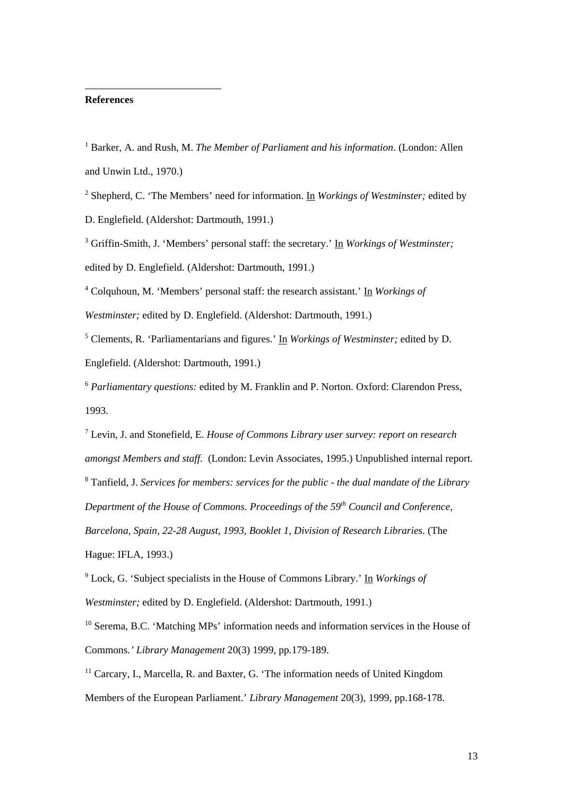## **References**

l

<sup>1</sup> Barker, A. and Rush, M. *The Member of Parliament and his information*. (London: Allen and Unwin Ltd., 1970.)

2 Shepherd, C. 'The Members' need for information. In *Workings of Westminster;* edited by D. Englefield. (Aldershot: Dartmouth, 1991.)

<sup>3</sup> Griffin-Smith, J. 'Members' personal staff: the secretary.' In *Workings of Westminster*; edited by D. Englefield. (Aldershot: Dartmouth, 1991.)

<sup>4</sup> Colquhoun, M. 'Members' personal staff: the research assistant.' In *Workings of Westminster;* edited by D. Englefield. (Aldershot: Dartmouth, 1991.)

5 Clements, R. 'Parliamentarians and figures.' In *Workings of Westminster;* edited by D. Englefield. (Aldershot: Dartmouth, 1991.)

<sup>6</sup> *Parliamentary questions:* edited by M. Franklin and P. Norton. Oxford: Clarendon Press, 1993.

7 Levin, J. and Stonefield, E. *House of Commons Library user survey: report on research amongst Members and staff.* (London: Levin Associates, 1995.) Unpublished internal report. 8 Tanfield, J. *Services for members: services for the public - the dual mandate of the Library Department of the House of Commons. Proceedings of the 59<sup>th</sup> Council and Conference, Barcelona, Spain, 22-28 August, 1993, Booklet 1, Division of Research Libraries*. (The Hague: IFLA, 1993.)

9 Lock, G. 'Subject specialists in the House of Commons Library.' In *Workings of Westminster;* edited by D. Englefield. (Aldershot: Dartmouth, 1991.)

<sup>10</sup> Serema, B.C. 'Matching MPs' information needs and information services in the House of Commons*.' Library Management* 20(3) 1999, pp.179-189.

<sup>11</sup> Carcary, I., Marcella, R. and Baxter, G. 'The information needs of United Kingdom Members of the European Parliament.' *Library Management* 20(3), 1999, pp.168-178.

13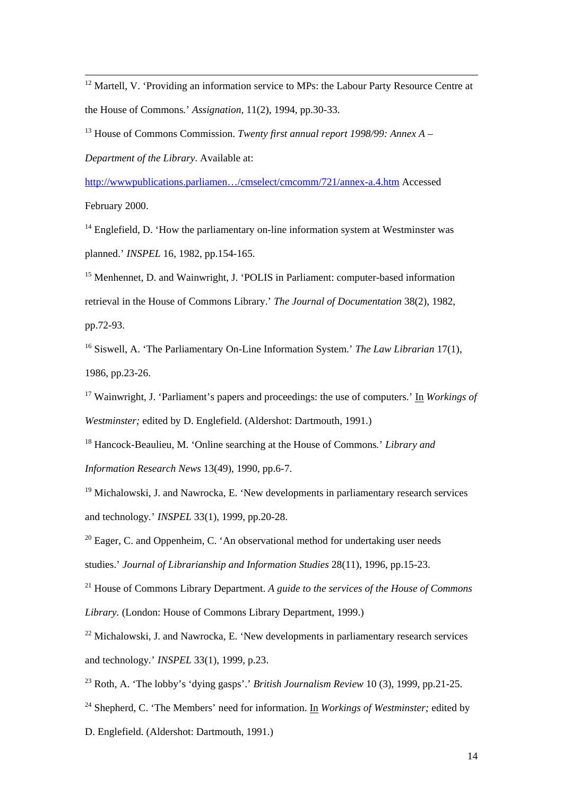$12$  Martell, V. 'Providing an information service to MPs: the Labour Party Resource Centre at the House of Commons*.*' *Assignation,* 11(2), 1994, pp.30-33.

<sup>13</sup> House of Commons Commission. *Twenty first annual report 1998/99: Annex A –* 

*Department of the Library*. Available at:

http://wwwpublications.parliamen…/cmselect/cmcomm/721/annex-a.4.htm Accessed February 2000.

 $14$  Englefield, D. 'How the parliamentary on-line information system at Westminster was planned.' *INSPEL* 16, 1982, pp.154-165.

<sup>15</sup> Menhennet, D. and Wainwright, J. 'POLIS in Parliament: computer-based information retrieval in the House of Commons Library.' *The Journal of Documentation* 38(2), 1982, pp.72-93.

16 Siswell, A. 'The Parliamentary On-Line Information System.' *The Law Librarian* 17(1), 1986, pp.23-26.

17 Wainwright, J. 'Parliament's papers and proceedings: the use of computers.' In *Workings of Westminster;* edited by D. Englefield. (Aldershot: Dartmouth, 1991.)

18 Hancock-Beaulieu, M. 'Online searching at the House of Commons*.*' *Library and Information Research News* 13(49), 1990, pp.6-7.

<sup>19</sup> Michalowski, J. and Nawrocka, E. 'New developments in parliamentary research services and technology*.*' *INSPEL* 33(1), 1999, pp.20-28.

 $20$  Eager, C. and Oppenheim, C. 'An observational method for undertaking user needs studies.' *Journal of Librarianship and Information Studies* 28(11), 1996, pp.15-23.

21 House of Commons Library Department. *A guide to the services of the House of Commons Library.* (London: House of Commons Library Department, 1999.)

 $22$  Michalowski, J. and Nawrocka, E. 'New developments in parliamentary research services and technology*.*' *INSPEL* 33(1), 1999, p.23.

23 Roth, A. 'The lobby's 'dying gasps'.' *British Journalism Review* 10 (3), 1999, pp.21-25.

24 Shepherd, C. 'The Members' need for information. In *Workings of Westminster;* edited by

D. Englefield. (Aldershot: Dartmouth, 1991.)